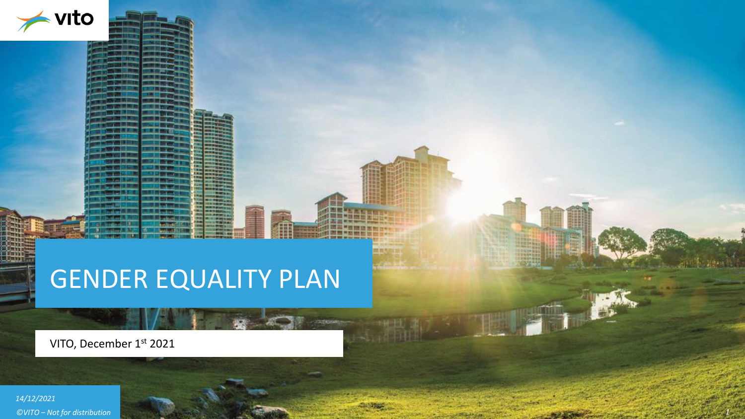

# GENDER EQUALITY PLAN

VITO, December 1st 2021

*14/12/2021 ©VITO – Not for distribution 1*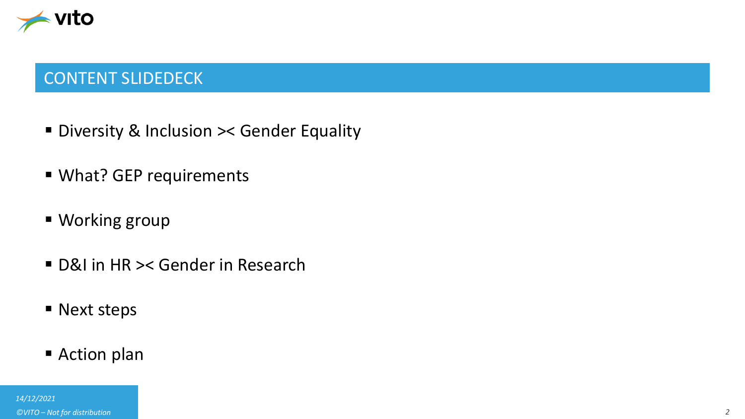

## CONTENT SLIDEDECK

- Diversity & Inclusion >< Gender Equality
- What? GEP requirements
- Working group
- D&I in HR >< Gender in Research
- Next steps
- Action plan

*14/12/2021 ©VITO – Not for distribution 2*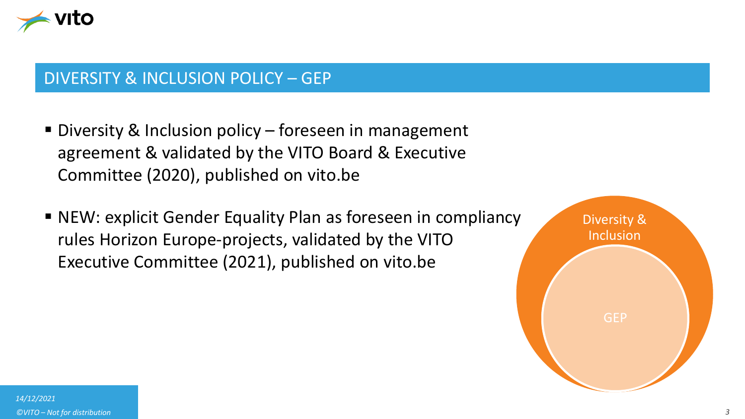

#### DIVERSITY & INCLUSION POLICY – GEP

- Diversity & Inclusion policy foreseen in management agreement & validated by the VITO Board & Executive Committee (2020), published on vito.be
- NEW: explicit Gender Equality Plan as foreseen in compliancy rules Horizon Europe-projects, validated by the VITO Executive Committee (2021), published on vito.be

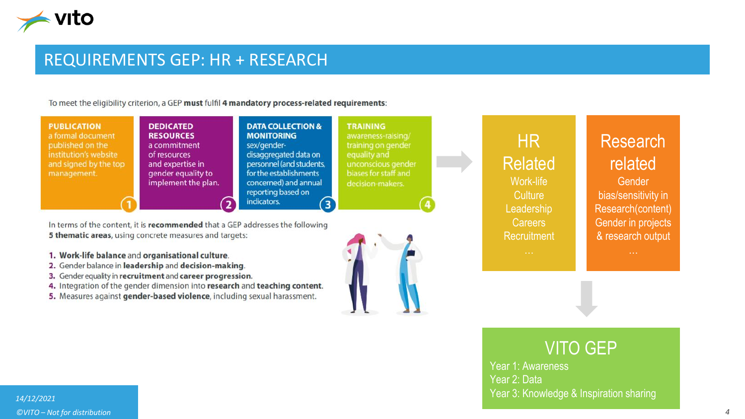

### REQUIREMENTS GEP: HR + RESEARCH

To meet the eligibility criterion, a GEP must fulfil 4 mandatory process-related requirements:

| <b>PUBLICATION</b><br><b>DEDICATED</b><br><b>RESOURCES</b><br>a formal document<br>published on the<br>a commitment<br>institution's website<br>of resources<br>and signed by the top<br>and expertise in<br>gender equality to<br>management.<br>implement the plan. | <b>DATA COLLECTION &amp;</b><br><b>MONITORING</b><br>sex/gender-<br>disaggregated data on<br>personnel (and students,<br>for the establishments<br>concerned) and annual<br>reporting based on<br>indicators. | <b>TRAINING</b><br>awareness-raising/<br>training on gender<br>equality and<br>unconscious gender<br>biases for staff and<br>decision-makers. |  | <b>HR</b><br><b>Related</b><br>Work-life<br>Culture<br>Leadership | Research<br>related<br><b>Gender</b><br>bias/sensitivity in<br>Research(content) |
|-----------------------------------------------------------------------------------------------------------------------------------------------------------------------------------------------------------------------------------------------------------------------|---------------------------------------------------------------------------------------------------------------------------------------------------------------------------------------------------------------|-----------------------------------------------------------------------------------------------------------------------------------------------|--|-------------------------------------------------------------------|----------------------------------------------------------------------------------|
|-----------------------------------------------------------------------------------------------------------------------------------------------------------------------------------------------------------------------------------------------------------------------|---------------------------------------------------------------------------------------------------------------------------------------------------------------------------------------------------------------|-----------------------------------------------------------------------------------------------------------------------------------------------|--|-------------------------------------------------------------------|----------------------------------------------------------------------------------|

In terms of the content, it is recommended that a GEP addresses the following 5 thematic areas, using concrete measures and targets:

- 1. Work-life balance and organisational culture.
- 2. Gender balance in leadership and decision-making.
- 3. Gender equality in recruitment and career progression.
- 4. Integration of the gender dimension into research and teaching content.
- 5. Measures against gender-based violence, including sexual harassment.



Research(content) Gender in projects & research output

# VITO GEP

Careers Recruitment

Year 1: Awareness Year 2: Data Year 3: Knowledge & Inspiration sharing

#### *14/12/2021 ©VITO – Not for distribution 4*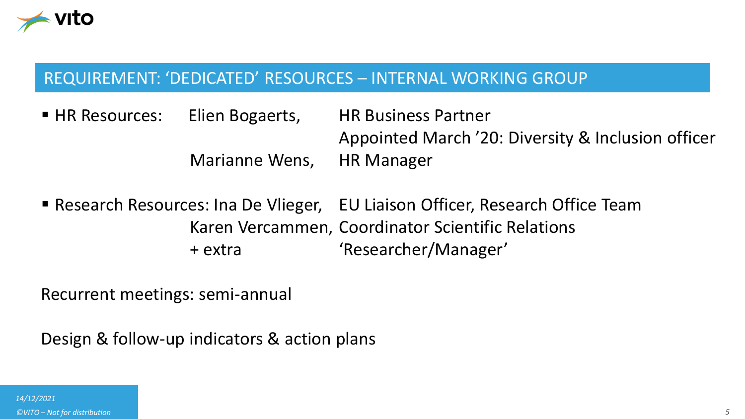

### REQUIREMENT: 'DEDICATED' RESOURCES – INTERNAL WORKING GROUP

■ HR Resources: Elien Bogaerts, HR Business Partner Appointed March '20: Diversity & Inclusion officer Marianne Wens, HR Manager

■ Research Resources: Ina De Vlieger, EU Liaison Officer, Research Office Team Karen Vercammen, Coordinator Scientific Relations + extra 'Researcher/Manager'

Recurrent meetings: semi-annual

Design & follow-up indicators & action plans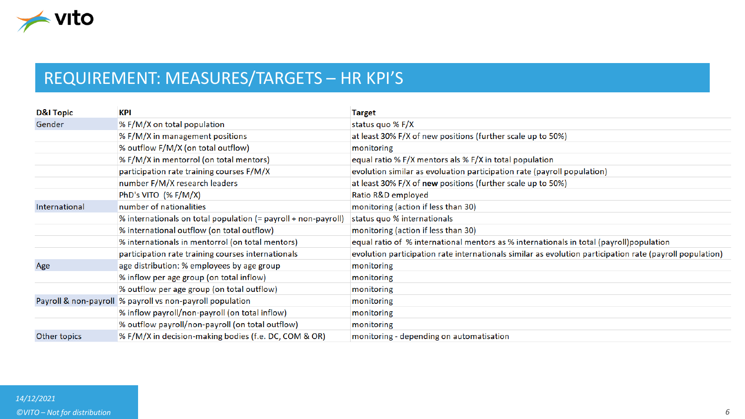

# REQUIREMENT: MEASURES/TARGETS – HR KPI'S

| <b>D&amp;I Topic</b> | <b>KPI</b>                                                     | <b>Target</b>                                                                                            |
|----------------------|----------------------------------------------------------------|----------------------------------------------------------------------------------------------------------|
| Gender               | % F/M/X on total population                                    | status quo % F/X                                                                                         |
|                      | % F/M/X in management positions                                | at least 30% F/X of new positions (further scale up to 50%)                                              |
|                      | % outflow F/M/X (on total outflow)                             | monitoring                                                                                               |
|                      | % F/M/X in mentorrol (on total mentors)                        | equal ratio % F/X mentors als % F/X in total population                                                  |
|                      | participation rate training courses F/M/X                      | evolution similar as evoluation participation rate (payroll population)                                  |
|                      | number F/M/X research leaders                                  | at least 30% F/X of new positions (further scale up to 50%)                                              |
|                      | PhD's VITO $(%$ F/M/X)                                         | Ratio R&D employed                                                                                       |
| International        | number of nationalities                                        | monitoring (action if less than 30)                                                                      |
|                      | % internationals on total population (= payroll + non-payroll) | status quo % internationals                                                                              |
|                      | % international outflow (on total outflow)                     | monitoring (action if less than 30)                                                                      |
|                      | % internationals in mentorrol (on total mentors)               | equal ratio of % international mentors as % internationals in total (payroll)population                  |
|                      | participation rate training courses internationals             | evolution participation rate internationals similar as evolution participation rate (payroll population) |
| Age                  | age distribution: % employees by age group                     | monitoring                                                                                               |
|                      | % inflow per age group (on total inflow)                       | monitoring                                                                                               |
|                      | % outflow per age group (on total outflow)                     | monitoring                                                                                               |
|                      | Payroll & non-payroll % payroll vs non-payroll population      | monitoring                                                                                               |
|                      | % inflow payroll/non-payroll (on total inflow)                 | monitoring                                                                                               |
|                      | % outflow payroll/non-payroll (on total outflow)               | monitoring                                                                                               |
| Other topics         | % F/M/X in decision-making bodies (f.e. DC, COM & OR)          | monitoring - depending on automatisation                                                                 |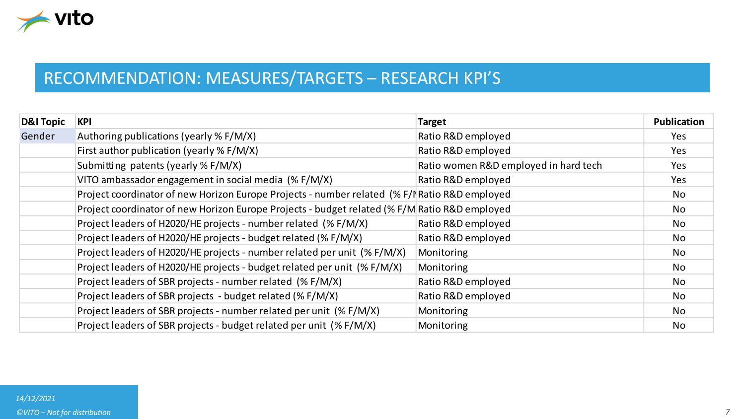

# RECOMMENDATION: MEASURES/TARGETS – RESEARCH KPI'S

| <b>D&amp;I Topic</b> | KPI                                                                                           | <b>Target</b>                         | <b>Publication</b> |
|----------------------|-----------------------------------------------------------------------------------------------|---------------------------------------|--------------------|
| Gender               | Authoring publications (yearly % F/M/X)                                                       | Ratio R&D employed                    | Yes.               |
|                      | First author publication (yearly % F/M/X)                                                     | Ratio R&D employed                    | Yes                |
|                      | Submitting patents (yearly % F/M/X)                                                           | Ratio women R&D employed in hard tech | Yes                |
|                      | VITO ambassador engagement in social media (% F/M/X)                                          | Ratio R&D employed                    | Yes                |
|                      | Project coordinator of new Horizon Europe Projects - number related (% F/I Ratio R&D employed |                                       | No.                |
|                      | Project coordinator of new Horizon Europe Projects - budget related (% F/M Ratio R&D employed |                                       | No.                |
|                      | Project leaders of H2020/HE projects - number related (% F/M/X)                               | Ratio R&D employed                    | No.                |
|                      | Project leaders of H2020/HE projects - budget related (% F/M/X)                               | Ratio R&D employed                    | No.                |
|                      | Project leaders of H2020/HE projects - number related per unit (% F/M/X)                      | Monitoring                            | No.                |
|                      | Project leaders of H2020/HE projects - budget related per unit (% F/M/X)                      | Monitoring                            | No.                |
|                      | Project leaders of SBR projects - number related (% F/M/X)                                    | Ratio R&D employed                    | No.                |
|                      | Project leaders of SBR projects - budget related (% F/M/X)                                    | Ratio R&D employed                    | No                 |
|                      | Project leaders of SBR projects - number related per unit (% F/M/X)                           | Monitoring                            | No.                |
|                      | Project leaders of SBR projects - budget related per unit (% F/M/X)                           | Monitoring                            | No                 |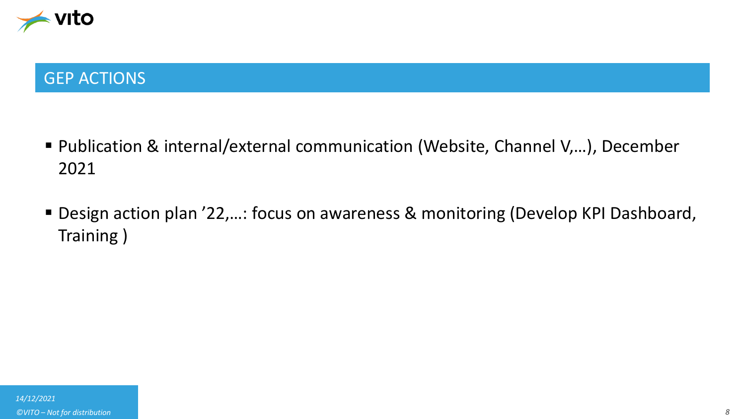

### GEP ACTIONS

- Publication & internal/external communication (Website, Channel V,...), December 2021
- Design action plan '22,...: focus on awareness & monitoring (Develop KPI Dashboard, Training )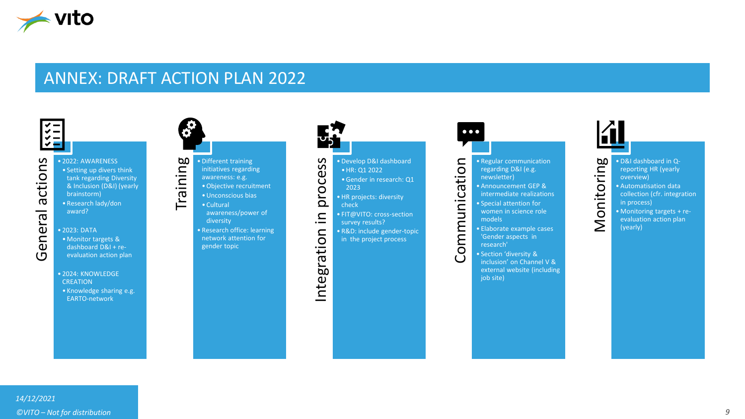

#### ANNEX: DRAFT ACTION PLAN 2022



#### • 2022: AWARENESS • Setting up divers think tank regarding Diversity & Inclusion (D&I) (yearly brainstorm) • Research lady/don award?

- 2023: DATA •Monitor targets & dashboard D&I + reevaluation action plan
- 2024: KNOWLEDGE **CREATION**
- Knowledge sharing e.g. EARTO-network



#### • Different training initiatives regarding awareness: e.g. •Objective recruitment

•Unconscious bias

- Cultural awareness/power of diversity
- Research office: learning network attention for gender topic



#### • Develop D&I dashboard •HR: Q1 2022

- •Gender in research: Q1
- 2023 • HR projects: diversity check
- FIT@VITO: cross-section
- survey results?
- R&D: include gender-topic
- in the project process

#### $\bullet\bullet\bullet$

• Regular communication regarding D&I (e.g. newsletter)

- Announcement GEP & intermediate realizations
- Communication • Special attention for women in science role models
	- Elaborate example cases 'Gender aspects in research'
	- Section 'diversity & inclusion' on Channel V & external website (including job site)

#### Monitoring • D&I dashboard in Qreporting HR (yearly overview) • Automatisation data collection (cfr. integration

- in process) • Monitoring targets + reevaluation action plan
- (yearly)

*14/12/2021*